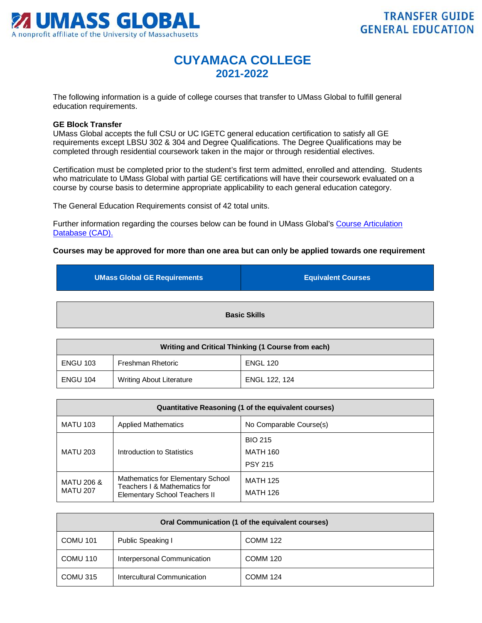

## **CUYAMACA COLLEGE 2021-2022**

The following information is a guide of college courses that transfer to UMass Global to fulfill general education requirements.

## **GE Block Transfer**

UMass Global accepts the full CSU or UC IGETC general education certification to satisfy all GE requirements except LBSU 302 & 304 and Degree Qualifications. The Degree Qualifications may be completed through residential coursework taken in the major or through residential electives.

Certification must be completed prior to the student's first term admitted, enrolled and attending. Students who matriculate to UMass Global with partial GE certifications will have their coursework evaluated on a course by course basis to determine appropriate applicability to each general education category.

The General Education Requirements consist of 42 total units.

Further information regarding the courses below can be found in UMass Global's [Course Articulation](http://services.umassglobal.edu/studentservices/TransferCredit/)  Database (CAD).

## **Courses may be approved for more than one area but can only be applied towards one requirement**

| <b>UMass Global GE Requirements</b> | <b>Equivalent Courses</b> |
|-------------------------------------|---------------------------|
|                                     | <b>Basic Skills</b>       |

| Writing and Critical Thinking (1 Course from each) |                                 |                 |
|----------------------------------------------------|---------------------------------|-----------------|
| <b>ENGU 103</b>                                    | Freshman Rhetoric               | <b>ENGL 120</b> |
| <b>ENGU 104</b>                                    | <b>Writing About Literature</b> | ENGL 122, 124   |

| Quantitative Reasoning (1 of the equivalent courses) |                                                                                                    |                                                     |
|------------------------------------------------------|----------------------------------------------------------------------------------------------------|-----------------------------------------------------|
| <b>MATU 103</b>                                      | <b>Applied Mathematics</b>                                                                         | No Comparable Course(s)                             |
| <b>MATU 203</b>                                      | Introduction to Statistics                                                                         | <b>BIO 215</b><br><b>MATH 160</b><br><b>PSY 215</b> |
| MATU 206 &<br><b>MATU 207</b>                        | Mathematics for Elementary School<br>Teachers I & Mathematics for<br>Elementary School Teachers II | <b>MATH 125</b><br><b>MATH 126</b>                  |

| Oral Communication (1 of the equivalent courses) |                             |                 |
|--------------------------------------------------|-----------------------------|-----------------|
| <b>COMU 101</b>                                  | Public Speaking I           | <b>COMM 122</b> |
| COMU 110                                         | Interpersonal Communication | <b>COMM 120</b> |
| COMU 315                                         | Intercultural Communication | <b>COMM 124</b> |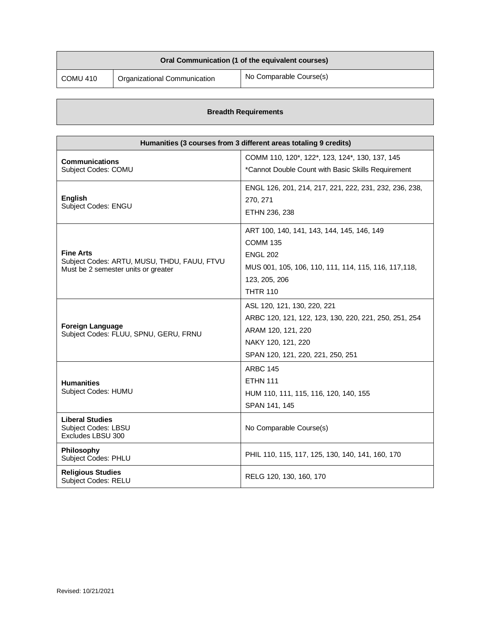| Oral Communication (1 of the equivalent courses) |                              |                         |
|--------------------------------------------------|------------------------------|-------------------------|
| COMU 410                                         | Organizational Communication | No Comparable Course(s) |

## **Breadth Requirements**

| Humanities (3 courses from 3 different areas totaling 9 credits)                   |                                                        |
|------------------------------------------------------------------------------------|--------------------------------------------------------|
| <b>Communications</b>                                                              | COMM 110, 120*, 122*, 123, 124*, 130, 137, 145         |
| Subject Codes: COMU                                                                | *Cannot Double Count with Basic Skills Requirement     |
|                                                                                    | ENGL 126, 201, 214, 217, 221, 222, 231, 232, 236, 238, |
| <b>English</b>                                                                     | 270, 271                                               |
| Subject Codes: ENGU                                                                | ETHN 236, 238                                          |
|                                                                                    | ART 100, 140, 141, 143, 144, 145, 146, 149             |
|                                                                                    | <b>COMM 135</b>                                        |
| <b>Fine Arts</b>                                                                   | <b>ENGL 202</b>                                        |
| Subject Codes: ARTU, MUSU, THDU, FAUU, FTVU<br>Must be 2 semester units or greater | MUS 001, 105, 106, 110, 111, 114, 115, 116, 117, 118,  |
|                                                                                    | 123, 205, 206                                          |
|                                                                                    | <b>THTR 110</b>                                        |
|                                                                                    | ASL 120, 121, 130, 220, 221                            |
|                                                                                    | ARBC 120, 121, 122, 123, 130, 220, 221, 250, 251, 254  |
| <b>Foreign Language</b><br>Subject Codes: FLUU, SPNU, GERU, FRNU                   | ARAM 120, 121, 220                                     |
|                                                                                    | NAKY 120, 121, 220                                     |
|                                                                                    | SPAN 120, 121, 220, 221, 250, 251                      |
|                                                                                    | <b>ARBC 145</b>                                        |
| <b>Humanities</b>                                                                  | <b>ETHN 111</b>                                        |
| Subject Codes: HUMU                                                                | HUM 110, 111, 115, 116, 120, 140, 155                  |
|                                                                                    | SPAN 141, 145                                          |
| <b>Liberal Studies</b><br>Subject Codes: LBSU<br>Excludes LBSU 300                 | No Comparable Course(s)                                |
| Philosophy<br><b>Subject Codes: PHLU</b>                                           | PHIL 110, 115, 117, 125, 130, 140, 141, 160, 170       |
| <b>Religious Studies</b><br>Subject Codes: RELU                                    | RELG 120, 130, 160, 170                                |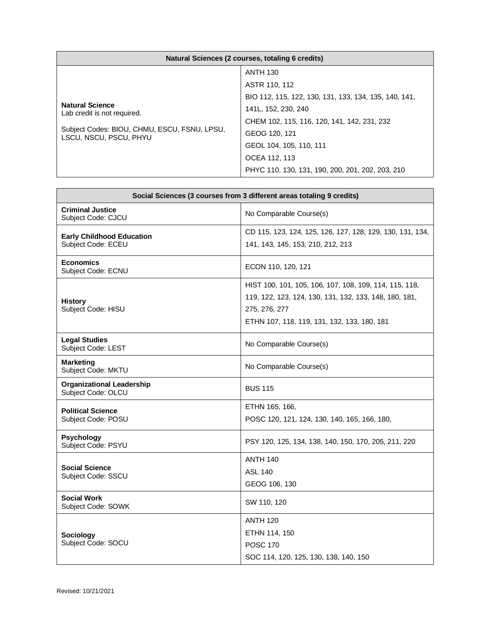| Natural Sciences (2 courses, totaling 6 credits)                                                                                |                                                                                                                                                                                                             |
|---------------------------------------------------------------------------------------------------------------------------------|-------------------------------------------------------------------------------------------------------------------------------------------------------------------------------------------------------------|
| <b>Natural Science</b><br>Lab credit is not required.<br>Subject Codes: BIOU, CHMU, ESCU, FSNU, LPSU,<br>LSCU, NSCU, PSCU, PHYU | <b>ANTH 130</b><br>ASTR 110, 112<br>BIO 112, 115, 122, 130, 131, 133, 134, 135, 140, 141,<br>141L, 152, 230, 240<br>CHEM 102, 115, 116, 120, 141, 142, 231, 232<br>GEOG 120, 121<br>GEOL 104, 105, 110, 111 |
|                                                                                                                                 | OCEA 112, 113                                                                                                                                                                                               |
|                                                                                                                                 |                                                                                                                                                                                                             |
|                                                                                                                                 | PHYC 110, 130, 131, 190, 200, 201, 202, 203, 210                                                                                                                                                            |

| Social Sciences (3 courses from 3 different areas totaling 9 credits) |                                                                                                                                                                                  |
|-----------------------------------------------------------------------|----------------------------------------------------------------------------------------------------------------------------------------------------------------------------------|
| <b>Criminal Justice</b><br>Subject Code: CJCU                         | No Comparable Course(s)                                                                                                                                                          |
| <b>Early Childhood Education</b><br>Subject Code: ECEU                | CD 115, 123, 124, 125, 126, 127, 128, 129, 130, 131, 134,<br>141, 143, 145, 153, 210, 212, 213                                                                                   |
| <b>Economics</b><br>Subject Code: ECNU                                | ECON 110, 120, 121                                                                                                                                                               |
| <b>History</b><br>Subject Code: HISU                                  | HIST 100, 101, 105, 106, 107, 108, 109, 114, 115, 118,<br>119, 122, 123, 124, 130, 131, 132, 133, 148, 180, 181,<br>275, 276, 277<br>ETHN 107, 118, 119, 131, 132, 133, 180, 181 |
| <b>Legal Studies</b><br>Subject Code: LEST                            | No Comparable Course(s)                                                                                                                                                          |
| <b>Marketing</b><br>Subject Code: MKTU                                | No Comparable Course(s)                                                                                                                                                          |
| <b>Organizational Leadership</b><br>Subject Code: OLCU                | <b>BUS 115</b>                                                                                                                                                                   |
| <b>Political Science</b><br>Subject Code: POSU                        | ETHN 165, 166,<br>POSC 120, 121, 124, 130, 140, 165, 166, 180,                                                                                                                   |
| <b>Psychology</b><br>Subject Code: PSYU                               | PSY 120, 125, 134, 138, 140, 150, 170, 205, 211, 220                                                                                                                             |
| <b>Social Science</b><br>Subject Code: SSCU                           | <b>ANTH 140</b><br><b>ASL 140</b><br>GEOG 106, 130                                                                                                                               |
| <b>Social Work</b><br>Subject Code: SOWK                              | SW 110, 120                                                                                                                                                                      |
| Sociology<br>Subject Code: SOCU                                       | <b>ANTH 120</b><br>ETHN 114, 150<br><b>POSC 170</b><br>SOC 114, 120, 125, 130, 138, 140, 150                                                                                     |